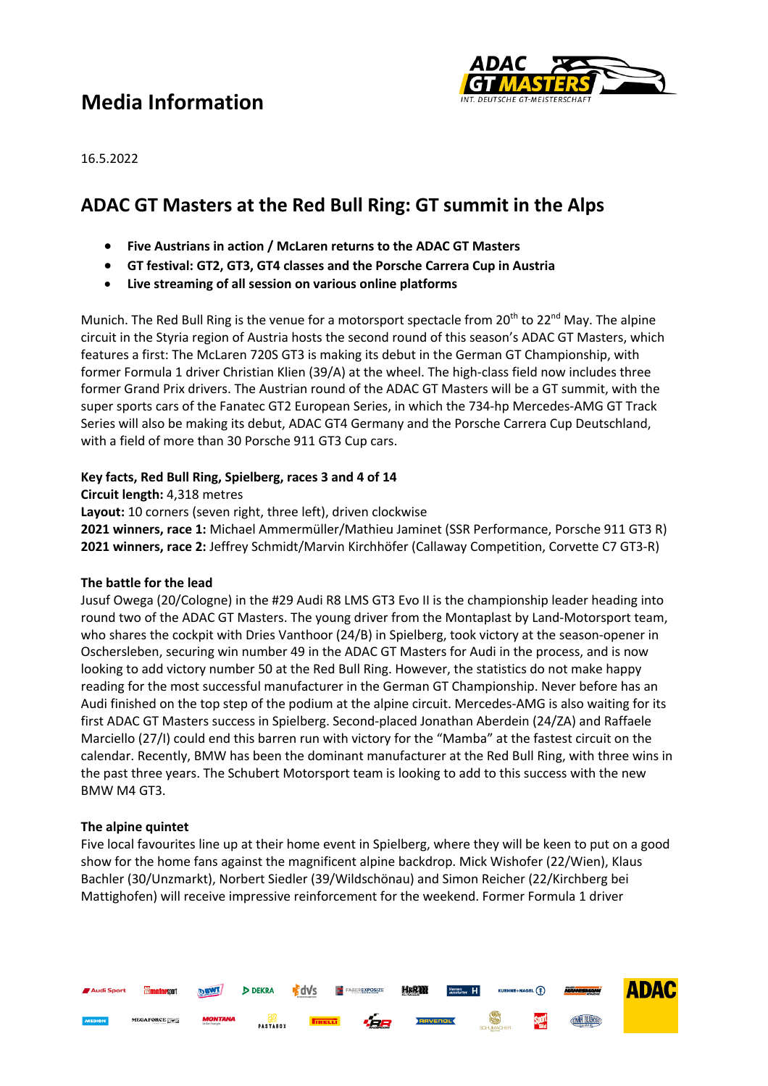# **Media Information**



16.5.2022

## **ADAC GT Masters at the Red Bull Ring: GT summit in the Alps**

- **Five Austrians in action / McLaren returns to the ADAC GT Masters**
- **GT festival: GT2, GT3, GT4 classes and the Porsche Carrera Cup in Austria**
- **Live streaming of all session on various online platforms**

Munich. The Red Bull Ring is the venue for a motorsport spectacle from 20<sup>th</sup> to 22<sup>nd</sup> May. The alpine circuit in the Styria region of Austria hosts the second round of this season's ADAC GT Masters, which features a first: The McLaren 720S GT3 is making its debut in the German GT Championship, with former Formula 1 driver Christian Klien (39/A) at the wheel. The high-class field now includes three former Grand Prix drivers. The Austrian round of the ADAC GT Masters will be a GT summit, with the super sports cars of the Fanatec GT2 European Series, in which the 734-hp Mercedes-AMG GT Track Series will also be making its debut, ADAC GT4 Germany and the Porsche Carrera Cup Deutschland, with a field of more than 30 Porsche 911 GT3 Cup cars.

### **Key facts, Red Bull Ring, Spielberg, races 3 and 4 of 14**

**Circuit length:** 4,318 metres

**Layout:** 10 corners (seven right, three left), driven clockwise

**2021 winners, race 1:** Michael Ammermüller/Mathieu Jaminet (SSR Performance, Porsche 911 GT3 R) **2021 winners, race 2:** Jeffrey Schmidt/Marvin Kirchhöfer (Callaway Competition, Corvette C7 GT3-R)

#### **The battle for the lead**

Jusuf Owega (20/Cologne) in the #29 Audi R8 LMS GT3 Evo II is the championship leader heading into round two of the ADAC GT Masters. The young driver from the Montaplast by Land-Motorsport team, who shares the cockpit with Dries Vanthoor (24/B) in Spielberg, took victory at the season-opener in Oschersleben, securing win number 49 in the ADAC GT Masters for Audi in the process, and is now looking to add victory number 50 at the Red Bull Ring. However, the statistics do not make happy reading for the most successful manufacturer in the German GT Championship. Never before has an Audi finished on the top step of the podium at the alpine circuit. Mercedes-AMG is also waiting for its first ADAC GT Masters success in Spielberg. Second-placed Jonathan Aberdein (24/ZA) and Raffaele Marciello (27/I) could end this barren run with victory for the "Mamba" at the fastest circuit on the calendar. Recently, BMW has been the dominant manufacturer at the Red Bull Ring, with three wins in the past three years. The Schubert Motorsport team is looking to add to this success with the new BMW M4 GT3.

### **The alpine quintet**

Five local favourites line up at their home event in Spielberg, where they will be keen to put on a good show for the home fans against the magnificent alpine backdrop. Mick Wishofer (22/Wien), Klaus Bachler (30/Unzmarkt), Norbert Siedler (39/Wildschönau) and Simon Reicher (22/Kirchberg bei Mattighofen) will receive impressive reinforcement for the weekend. Former Formula 1 driver